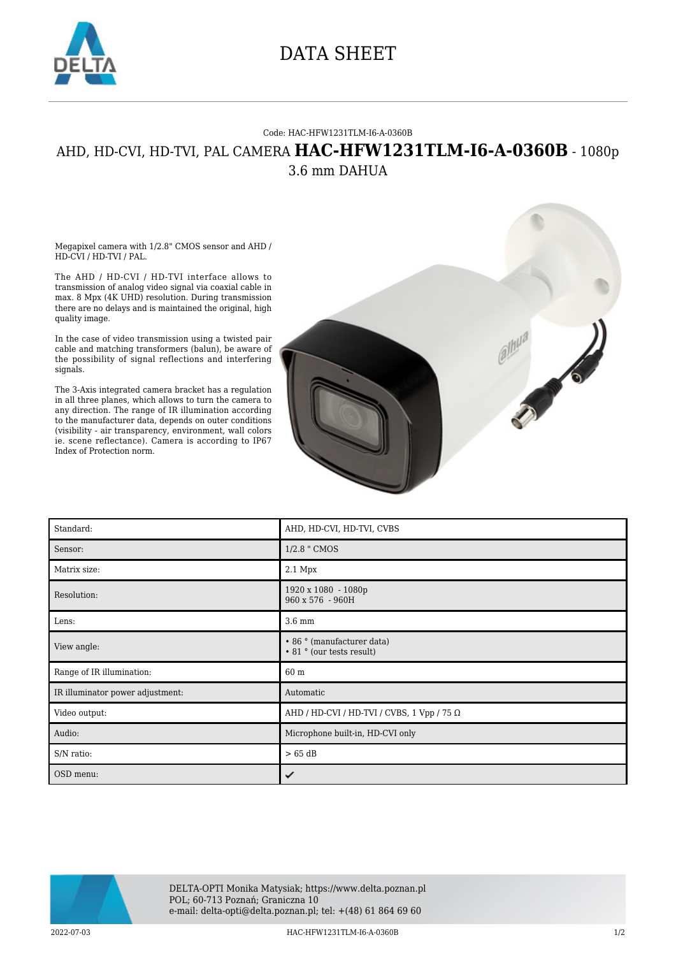

## DATA SHEET

## Code: HAC-HFW1231TLM-I6-A-0360B

## AHD, HD-CVI, HD-TVI, PAL CAMERA **HAC-HFW1231TLM-I6-A-0360B** - 1080p 3.6 mm DAHUA

Megapixel camera with 1/2.8" CMOS sensor and AHD / HD-CVI / HD-TVI / PAL.

The AHD / HD-CVI / HD-TVI interface allows to transmission of analog video signal via coaxial cable in max. 8 Mpx (4K UHD) resolution. During transmission there are no delays and is maintained the original, high quality image.

In the case of video transmission using a twisted pair cable and matching transformers (balun), be aware of the possibility of signal reflections and interfering signals.

The 3-Axis integrated camera bracket has a regulation in all three planes, which allows to turn the camera to any direction. The range of IR illumination according to the manufacturer data, depends on outer conditions (visibility - air transparency, environment, wall colors ie. scene reflectance). Camera is according to IP67 Index of Protection norm.



| Standard:                        | AHD, HD-CVI, HD-TVI, CVBS                               |
|----------------------------------|---------------------------------------------------------|
| Sensor:                          | 1/2.8 " CMOS                                            |
| Matrix size:                     | 2.1 Mpx                                                 |
| Resolution:                      | 1920 x 1080 - 1080p<br>960 x 576 - 960H                 |
| Lens:                            | 3.6 mm                                                  |
| View angle:                      | • 86 ° (manufacturer data)<br>• 81 ° (our tests result) |
| Range of IR illumination:        | 60 m                                                    |
| IR illuminator power adjustment: | Automatic                                               |
| Video output:                    | AHD / HD-CVI / HD-TVI / CVBS, 1 Vpp / 75 $\Omega$       |
| Audio:                           | Microphone built-in, HD-CVI only                        |
| S/N ratio:                       | $> 65$ dB                                               |
| OSD menu:                        | ✓                                                       |